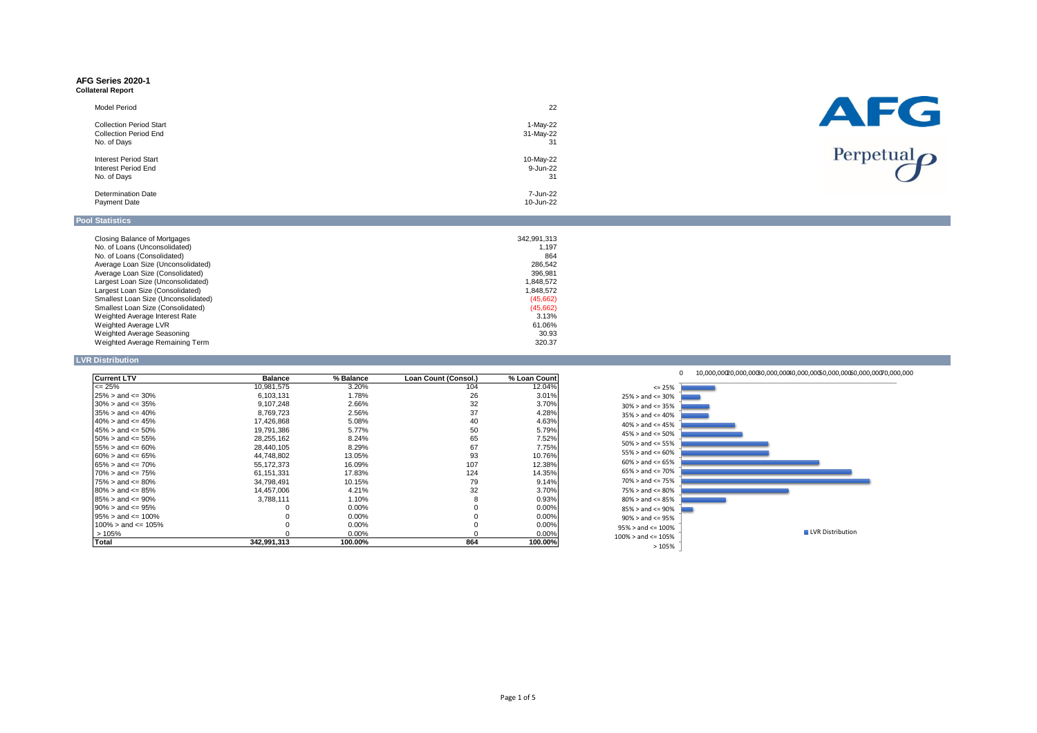# **AFG Series 2020-1**

| Collateral Report |  |
|-------------------|--|
|-------------------|--|

| <b>Model Period</b>            | 22        | AFG                        |
|--------------------------------|-----------|----------------------------|
| <b>Collection Period Start</b> | 1-May-22  |                            |
| <b>Collection Period End</b>   | 31-May-22 |                            |
| No. of Days                    | 31        |                            |
| <b>Interest Period Start</b>   | 10-May-22 | Perpetual $\boldsymbol{O}$ |
| Interest Period End            | 9-Jun-22  |                            |
| No. of Days                    | 31        |                            |
| <b>Determination Date</b>      | 7-Jun-22  |                            |
| Payment Date                   | 10-Jun-22 |                            |

# **Pool Statistics**

| Closing Balance of Mortgages        | 342.991.313 |
|-------------------------------------|-------------|
| No. of Loans (Unconsolidated)       | 1.197       |
| No. of Loans (Consolidated)         | 864         |
| Average Loan Size (Unconsolidated)  | 286.542     |
| Average Loan Size (Consolidated)    | 396.981     |
| Largest Loan Size (Unconsolidated)  | 1.848.572   |
| Largest Loan Size (Consolidated)    | 1.848.572   |
| Smallest Loan Size (Unconsolidated) | (45,662)    |
| Smallest Loan Size (Consolidated)   | (45,662)    |
| Weighted Average Interest Rate      | 3.13%       |
| Weighted Average LVR                | 61.06%      |
| Weighted Average Seasoning          | 30.93       |
| Weighted Average Remaining Term     | 320.37      |

# **LVR Distribution**

| <b>Current LTV</b>         | <b>Balance</b> | % Balance | Loan Count (Consol.) | % Loan Count |
|----------------------------|----------------|-----------|----------------------|--------------|
| $\leq$ 25%                 | 10,981,575     | 3.20%     | 104                  | 12.04%       |
| $25\% >$ and $\leq 30\%$   | 6,103,131      | 1.78%     | 26                   | 3.01%        |
| $30\% >$ and $\leq$ $35\%$ | 9.107.248      | 2.66%     | 32                   | 3.70%        |
| $35\% >$ and $\leq 40\%$   | 8.769.723      | 2.56%     | 37                   | 4.28%        |
| $40\% >$ and $\leq 45\%$   | 17,426,868     | 5.08%     | 40                   | 4.63%        |
| $45\% >$ and $\leq 50\%$   | 19,791,386     | 5.77%     | 50                   | 5.79%        |
| $50\% >$ and $\leq 55\%$   | 28,255,162     | 8.24%     | 65                   | 7.52%        |
| $55\% >$ and $\leq 60\%$   | 28,440,105     | 8.29%     | 67                   | 7.75%        |
| $60\% >$ and $\leq 65\%$   | 44.748.802     | 13.05%    | 93                   | 10.76%       |
| $65\% >$ and $\leq 70\%$   | 55.172.373     | 16.09%    | 107                  | 12.38%       |
| $70\% >$ and $\leq 75\%$   | 61.151.331     | 17.83%    | 124                  | 14.35%       |
| $75\% >$ and $\leq 80\%$   | 34.798.491     | 10.15%    | 79                   | 9.14%        |
| $80\% >$ and $\leq 85\%$   | 14.457.006     | 4.21%     | 32                   | $3.70\%$     |
| $85\% >$ and $\leq 90\%$   | 3.788.111      | 1.10%     | 8                    | 0.93%        |
| $90\% >$ and $\leq 95\%$   |                | $0.00\%$  |                      | $0.00\%$     |
| $95\% >$ and $\leq 100\%$  |                | $0.00\%$  |                      | $0.00\%$     |
| $100\%$ > and <= 105%      |                | $0.00\%$  |                      | $0.00\%$     |
| >105%                      |                | $0.00\%$  |                      | $0.00\%$     |
| Total                      | 342.991.313    | 100.00%   | 864                  | 100.00%      |

0 10,000,00020,000,00030,000,00040,000,00050,000,00060,000,00070,000,000

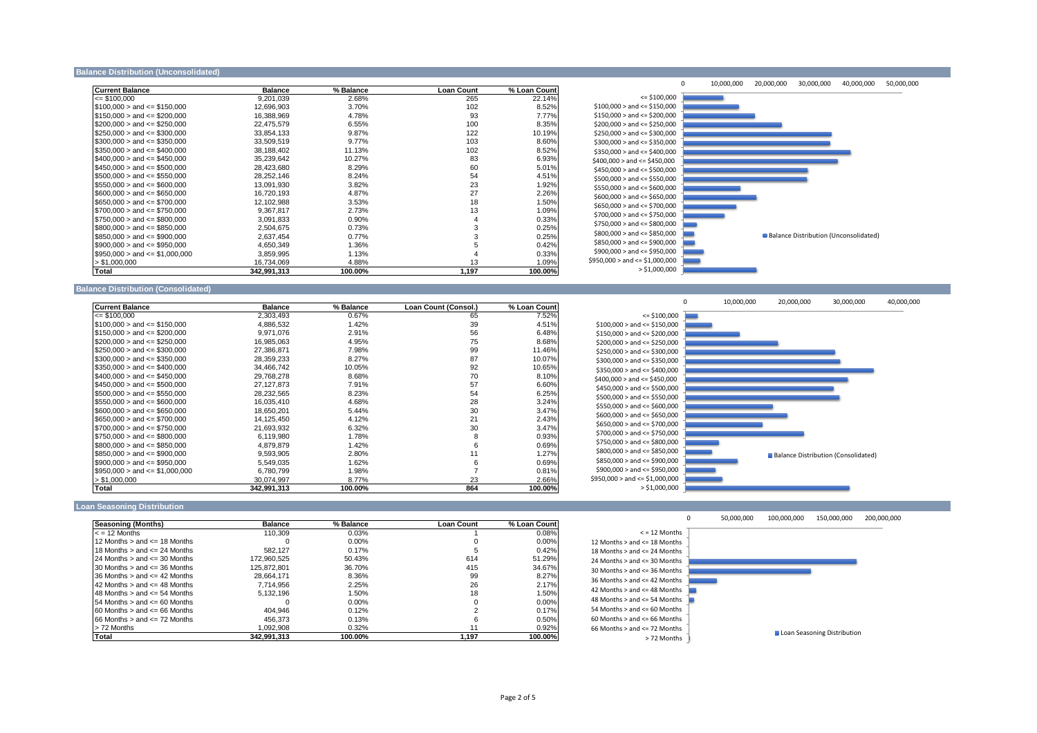#### **Balance Distribution (Unconsolidated)**

| <b>Current Balance</b>            | <b>Balance</b> | % Balance | <b>Loan Count</b> | % Loan Count |
|-----------------------------------|----------------|-----------|-------------------|--------------|
| $= $100,000$                      | 9,201,039      | 2.68%     | 265               | 22.14%       |
| $$100.000 >$ and $\leq$ \$150.000 | 12,696,903     | 3.70%     | 102               | 8.52%        |
| $$150,000 >$ and $\leq$ \$200,000 | 16,388,969     | 4.78%     | 93                | 7.77%        |
| $$200,000 >$ and <= \$250,000     | 22,475,579     | 6.55%     | 100               | 8.35%        |
| $$250.000 >$ and $\leq$ \$300.000 | 33.854.133     | 9.87%     | 122               | 10.19%       |
| $$300.000 >$ and $\leq$ \$350.000 | 33,509,519     | 9.77%     | 103               | 8.60%        |
| $$350,000 >$ and $\leq 400,000$   | 38,188,402     | 11.13%    | 102               | 8.52%        |
| $$400.000 >$ and $\leq$ \$450.000 | 35.239.642     | 10.27%    | 83                | 6.93%        |
| $$450,000 >$ and $\leq $500,000$  | 28,423,680     | 8.29%     | 60                | 5.01%        |
| $$500.000 >$ and $\leq$ \$550.000 | 28.252.146     | 8.24%     | 54                | 4.51%        |
| $$550,000 >$ and $\leq$ \$600,000 | 13,091,930     | 3.82%     | 23                | 1.92%        |
| $$600,000 >$ and <= \$650,000     | 16,720,193     | 4.87%     | 27                | 2.26%        |
| $$650.000 >$ and $\leq$ \$700.000 | 12.102.988     | 3.53%     | 18                | 1.50%        |
| $$700,000 >$ and <= \$750,000     | 9.367.817      | 2.73%     | 13                | 1.09%        |
| $$750.000 >$ and $\leq$ \$800.000 | 3,091,833      | $0.90\%$  | 4                 | 0.33%        |
| $$800,000 >$ and <= \$850,000     | 2.504.675      | 0.73%     | 3                 | 0.25%        |
| $$850,000 >$ and <= \$900,000     | 2,637,454      | $0.77\%$  |                   | 0.25%        |
| $$900,000 >$ and <= \$950,000     | 4,650,349      | 1.36%     |                   | 0.42%        |
| $$950,000 >$ and $\leq 1,000,000$ | 3.859.995      | 1.13%     |                   | 0.33%        |
| > \$1,000,000                     | 16,734,069     | 4.88%     | 13                | 1.09%        |
| <b>Total</b>                      | 342.991.313    | 100.00%   | 1.197             | 100.00%      |



#### **Balance Distribution (Consolidated)**

| <b>Current Balance</b>            | <b>Balance</b> | % Balance | Loan Count (Consol.) | % Loan Count |
|-----------------------------------|----------------|-----------|----------------------|--------------|
| $\leq$ \$100.000                  | 2,303,493      | 0.67%     | 65                   | 7.52%        |
| $$100,000 >$ and <= \$150,000     | 4,886,532      | 1.42%     | 39                   | 4.51%        |
| $$150,000 >$ and <= \$200,000     | 9.971.076      | 2.91%     | 56                   | 6.48%        |
| $$200,000 >$ and <= \$250,000     | 16,985,063     | 4.95%     | 75                   | 8.68%        |
| $$250.000 >$ and $\leq$ \$300.000 | 27.386.871     | 7.98%     | 99                   | 11.46%       |
| $$300,000 >$ and <= \$350,000     | 28,359,233     | 8.27%     | 87                   | 10.07%       |
| $$350,000 >$ and $\leq$ \$400,000 | 34,466,742     | 10.05%    | 92                   | 10.65%       |
| $$400,000 >$ and $\leq $450,000$  | 29,768,278     | 8.68%     | 70                   | 8.10%        |
| $$450.000 >$ and $\leq$ \$500.000 | 27.127.873     | 7.91%     | 57                   | 6.60%        |
| $$500,000 >$ and $\leq$ \$550,000 | 28,232,565     | 8.23%     | 54                   | 6.25%        |
| $$550,000 >$ and <= \$600,000     | 16,035,410     | 4.68%     | 28                   | 3.24%        |
| $$600.000 >$ and $\leq$ \$650,000 | 18.650.201     | 5.44%     | 30                   | 3.47%        |
| $$650,000 >$ and $\leq$ \$700,000 | 14,125,450     | 4.12%     | 21                   | 2.43%        |
| $$700.000 >$ and $\leq$ \$750.000 | 21,693,932     | 6.32%     | 30                   | 3.47%        |
| $$750.000 >$ and $\leq$ \$800.000 | 6.119.980      | 1.78%     | 8                    | 0.93%        |
| $$800,000 >$ and $\leq$ \$850,000 | 4,879,879      | 1.42%     | 6                    | 0.69%        |
| $$850.000 >$ and $\leq$ \$900.000 | 9.593.905      | 2.80%     | 11                   | 1.27%        |
| $$900.000 >$ and $\leq 250.000$   | 5,549,035      | 1.62%     | 6                    | 0.69%        |
| $$950,000 >$ and $\leq 1,000,000$ | 6,780,799      | 1.98%     |                      | 0.81%        |
| > \$1,000,000                     | 30,074,997     | 8.77%     | 23                   | 2.66%        |
| Total                             | 342,991,313    | 100.00%   | 864                  | 100.00%      |



### **Loan Seasoning Distribution**

| <b>Seasoning (Months)</b>             | <b>Balance</b> | % Balance | <b>Loan Count</b> | % Loan Count |
|---------------------------------------|----------------|-----------|-------------------|--------------|
| $\epsilon$ = 12 Months                | 110.309        | 0.03%     |                   | 0.08%        |
| 12 Months $>$ and $\leq$ 18 Months    |                | 0.00%     |                   | 0.00%        |
| 18 Months $>$ and $\leq$ 24 Months    | 582.127        | 0.17%     |                   | 0.42%        |
| 24 Months $>$ and $\leq$ 30 Months    | 172.960.525    | 50.43%    | 614               | 51.29%       |
| 30 Months $>$ and $\leq$ 36 Months    | 125.872.801    | 36.70%    | 415               | 34.67%       |
| 36 Months $>$ and $\leq$ 42 Months    | 28.664.171     | 8.36%     | 99                | 8.27%        |
| 42 Months $>$ and $\leq$ 48 Months    | 7.714.956      | 2.25%     | 26                | 2.17%        |
| 48 Months $>$ and $\leq$ 54 Months    | 5.132.196      | 1.50%     | 18                | 1.50%        |
| $154$ Months $>$ and $\leq 60$ Months |                | $0.00\%$  |                   | 0.00%        |
| $60$ Months $>$ and $\leq$ 66 Months  | 404.946        | 0.12%     |                   | 0.17%        |
| $66$ Months $>$ and $\leq$ 72 Months  | 456.373        | 0.13%     | ĸ                 | 0.50%        |
| > 72 Months                           | 1.092.908      | 0.32%     |                   | 0.92%        |
| Total                                 | 342.991.313    | 100.00%   | 1.197             | 100.00%      |

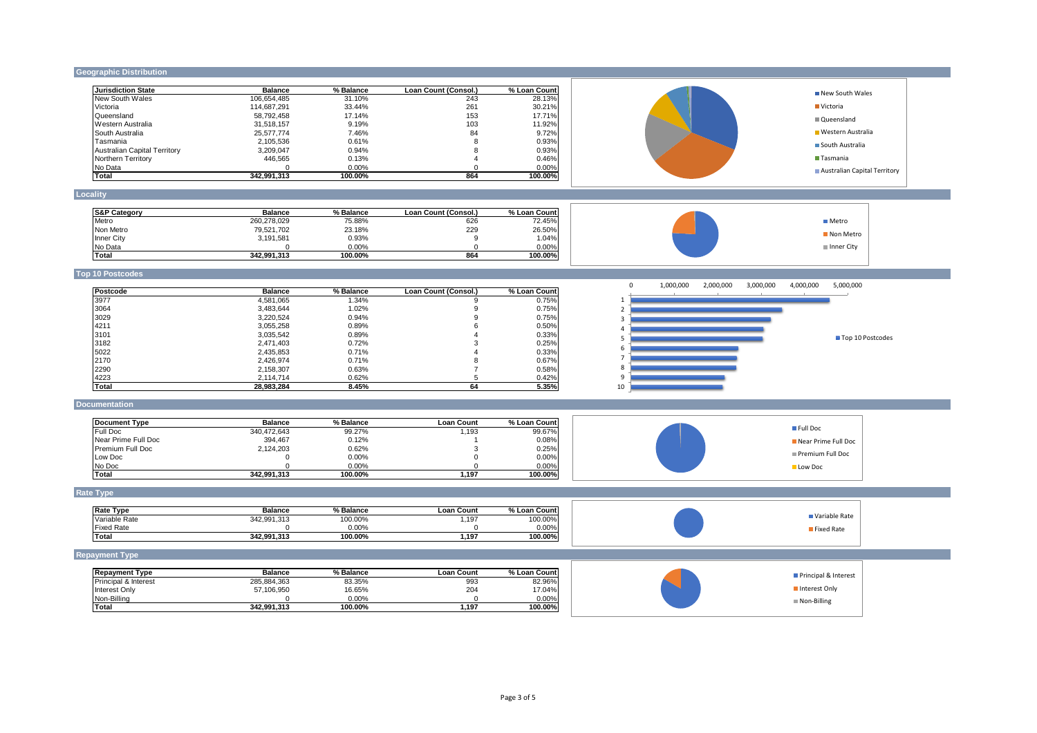# **Geographic Distribution**

| <b>Jurisdiction State</b>           | <b>Balance</b>          | % Balance        | Loan Count (Consol.)       | % Loan Count     | New South Wales                                                              |
|-------------------------------------|-------------------------|------------------|----------------------------|------------------|------------------------------------------------------------------------------|
| New South Wales                     | 106,654,485             | 31.10%           | 243                        | 28.13%           |                                                                              |
| Victoria                            | 114,687,291             | 33.44%           | 261                        | 30.21%           | ■ Victoria                                                                   |
| Queensland                          | 58,792,458              | 17.14%           | 153                        | 17.71%           | Queensland                                                                   |
| Western Australia                   | 31,518,157              | 9.19%            | 103                        | 11.92%           |                                                                              |
| South Australia                     | 25,577,774              | 7.46%            | 84                         | 9.72%            | ■ Western Australia                                                          |
| Tasmania                            | 2,105,536               | 0.61%            | 8                          | 0.93%            | South Australia                                                              |
| <b>Australian Capital Territory</b> | 3,209,047               | 0.94%            | 8                          | 0.93%            | Tasmania                                                                     |
| Northern Territory                  | 446,565<br>$\Omega$     | 0.13%            | $\overline{4}$<br>$\Omega$ | 0.46%            |                                                                              |
| No Data<br><b>Total</b>             | 342,991,313             | 0.00%<br>100.00% | 864                        | 0.00%<br>100.00% | Australian Capital Territory                                                 |
| Locality                            |                         |                  |                            |                  |                                                                              |
|                                     |                         |                  |                            |                  |                                                                              |
| <b>S&amp;P Category</b>             | <b>Balance</b>          | % Balance        | Loan Count (Consol.)       | % Loan Count     |                                                                              |
| Metro                               | 260,278,029             | 75.88%           | 626                        | 72.45%           | <b>■</b> Metro                                                               |
| Non Metro                           | 79,521,702              | 23.18%           | 229                        | 26.50%           | Non Metro                                                                    |
| Inner City                          | 3,191,581               | 0.93%            | 9                          | 1.04%            |                                                                              |
| No Data                             | $\Omega$                | 0.00%            | $\mathbf 0$                | 0.00%            | Inner City                                                                   |
| Total                               | 342,991,313             | 100.00%          | 864                        | 100.00%          |                                                                              |
| <b>Top 10 Postcodes</b>             |                         |                  |                            |                  |                                                                              |
| Postcode                            | <b>Balance</b>          | % Balance        | Loan Count (Consol.)       | % Loan Count     | $\mathbf 0$<br>1,000,000<br>2,000,000<br>3,000,000<br>4,000,000<br>5,000,000 |
| 3977                                | 4,581,065               | 1.34%            | 9                          | 0.75%            | 1                                                                            |
| 3064                                | 3,483,644               | 1.02%            | 9                          | 0.75%            |                                                                              |
| 3029                                | 3,220,524               |                  | 9                          |                  | $\overline{2}$                                                               |
| 4211                                | 3,055,258               | 0.94%<br>0.89%   | 6                          | 0.75%<br>0.50%   | $\overline{\mathbf{3}}$                                                      |
| 3101                                | 3,035,542               | 0.89%            | 4                          | 0.33%            | Δ                                                                            |
| 3182                                | 2,471,403               | 0.72%            | 3                          | 0.25%            | Top 10 Postcodes<br>-5                                                       |
| 5022                                | 2,435,853               | 0.71%            | 4                          | 0.33%            | -6                                                                           |
| 2170                                | 2,426,974               | 0.71%            | 8                          | 0.67%            |                                                                              |
| 2290                                | 2,158,307               | 0.63%            | $\overline{7}$             | 0.58%            | 8                                                                            |
| 4223                                | 2,114,714               | 0.62%            | $5^{\circ}$                | 0.42%            | 9                                                                            |
| <b>Total</b>                        | 28,983,284              | 8.45%            | 64                         | 5.35%            | 10                                                                           |
| Documentation                       |                         |                  |                            |                  |                                                                              |
|                                     |                         |                  |                            |                  |                                                                              |
| <b>Document Type</b>                | <b>Balance</b>          | % Balance        | <b>Loan Count</b>          | % Loan Count     | Full Doc                                                                     |
| Full Doc                            | 340,472,643             | 99.27%           | 1,193                      | 99.67%           |                                                                              |
| Near Prime Full Doc                 | 394,467                 | 0.12%            | $\overline{1}$             | 0.08%            | Near Prime Full Doc                                                          |
| Premium Full Doc                    | 2,124,203               | 0.62%            | 3                          | 0.25%            | Premium Full Doc                                                             |
| Low Doc                             | $\Omega$<br>$\Omega$    | 0.00%            | $\mathbf 0$<br>$\Omega$    | 0.00%            |                                                                              |
| No Doc<br>Total                     | 342,991,313             | 0.00%<br>100.00% | 1,197                      | 0.00%<br>100.00% | Low Doc                                                                      |
| Rate Type                           |                         |                  |                            |                  |                                                                              |
|                                     |                         |                  |                            |                  |                                                                              |
| <b>Rate Type</b>                    | <b>Balance</b>          | % Balance        | <b>Loan Count</b>          | % Loan Count     |                                                                              |
| Variable Rate                       | 342,991,313             | 100.00%          | 1,197                      | 100.00%          | Variable Rate                                                                |
| <b>Fixed Rate</b>                   | $\Omega$                | 0.00%            | $\mathbf{0}$               | 0.00%            | Fixed Rate                                                                   |
| <b>Total</b>                        | 342,991,313             | 100.00%          | 1,197                      | 100.00%          |                                                                              |
| <b>Repayment Type</b>               |                         |                  |                            |                  |                                                                              |
|                                     |                         |                  | <b>Loan Count</b>          | % Loan Count     |                                                                              |
|                                     |                         |                  |                            |                  | Principal & Interest                                                         |
| <b>Repayment Type</b>               | <b>Balance</b>          | % Balance        |                            |                  |                                                                              |
| Principal & Interest                | 285,884,363             | 83.35%           | 993                        | 82.96%           |                                                                              |
| Interest Only                       | 57,106,950              | 16.65%           | 204                        | 17.04%           | Interest Only                                                                |
| Non-Billing<br><b>Total</b>         | $\Omega$<br>342,991,313 | 0.00%<br>100.00% | $\Omega$<br>1,197          | 0.00%<br>100.00% | Non-Billing                                                                  |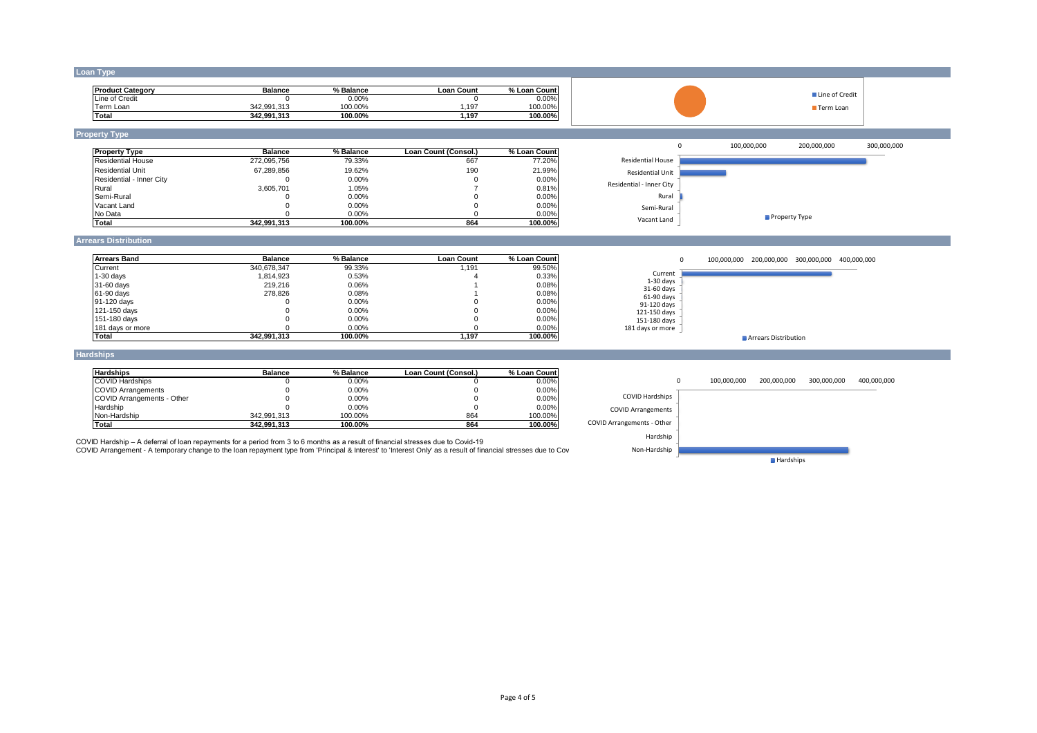#### **Loan Type**

| <b>Product Category</b> | <b>Balance</b> | % Balance | Loan Count | % Loan Count |
|-------------------------|----------------|-----------|------------|--------------|
| Line of Credit          |                | $0.00\%$  |            | $0.00\%$     |
| Ferm Loan               | 342.991.313    | 100.00%   | 197        | 100.00%      |
| Total                   | 342.991.313    | 100.00%   | 1.197      | 100.00%      |

### **Property Type**

| <b>Property Type</b>     | <b>Balance</b> | % Balance | Loan Count (Consol.) | % Loan Count |
|--------------------------|----------------|-----------|----------------------|--------------|
| <b>Residential House</b> | 272.095.756    | 79.33%    | 667                  | 77.20%       |
| <b>Residential Unit</b>  | 67.289.856     | 19.62%    | 190                  | 21.99%       |
| Residential - Inner City |                | 0.00%     |                      | 0.00%        |
| Rural                    | 3.605.701      | 1.05%     |                      | 0.81%        |
| Semi-Rural               |                | $0.00\%$  |                      | 0.00%        |
| Vacant Land              |                | 0.00%     |                      | 0.00%        |
| No Data                  |                | 0.00%     |                      | 0.00%        |
| Total                    | 342.991.313    | 100.00%   | 864                  | 100.00%      |





■ Line of Credit Term Loan

### **Arrears Distribution**

| <b>Arrears Band</b> | <b>Balance</b> | % Balance | <b>Loan Count</b> | % Loan Count |
|---------------------|----------------|-----------|-------------------|--------------|
| Current             | 340.678.347    | 99.33%    | 1.191             | 99.50%       |
| $1-30$ days         | 1.814.923      | 0.53%     |                   | 0.33%        |
| 31-60 days          | 219,216        | 0.06%     |                   | 0.08%        |
| 61-90 days          | 278.826        | 0.08%     |                   | 0.08%        |
| 91-120 days         |                | $0.00\%$  |                   | 0.00%        |
| 121-150 days        |                | 0.00%     |                   | 0.00%        |
| 151-180 days        |                | 0.00%     |                   | 0.00%        |
| 181 days or more    |                | 0.00%     |                   | 0.00%        |
| <b>Total</b>        | 342.991.313    | 100.00%   | 1.197             | 100.00%      |



#### **Hardships**

| <b>Hardships</b>           | <b>Balance</b> | % Balance | Loan Count (Consol.) | % Loan Count |
|----------------------------|----------------|-----------|----------------------|--------------|
| <b>COVID Hardships</b>     |                | 0.00%     |                      | 0.00%        |
| <b>COVID Arrangements</b>  |                | 0.00%     |                      | 0.00%        |
| COVID Arrangements - Other |                | $0.00\%$  |                      | 0.00%        |
| Hardship                   |                | $0.00\%$  |                      | 0.00%        |
| Non-Hardship               | 342.991.313    | 100.00%   | 864                  | 100.00%      |
| Total                      | 342.991.313    | 100.00%   | 864                  | 100.00%      |



COVID Hardship – A deferral of loan repayments for a period from 3 to 6 months as a result of financial stresses due to Covid-19

COVID Arrangement - A temporary change to the loan repayment type from 'Principal & Interest' to 'Interest Only' as a result of financial stresses due to Cov